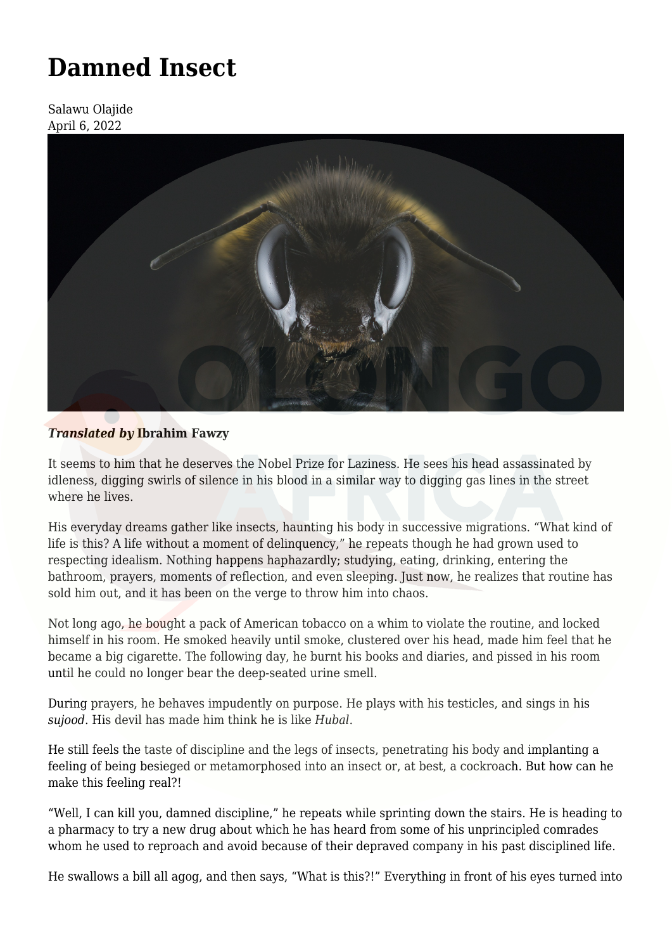# **[Damned Insect](https://olongoafrica.com/damned-insect/)**

Salawu Olajide April 6, 2022



## *Translated by* **Ibrahim Fawzy**

It seems to him that he deserves the Nobel Prize for Laziness. He sees his head assassinated by idleness, digging swirls of silence in his blood in a similar way to digging gas lines in the street where he lives.

His everyday dreams gather like insects, haunting his body in successive migrations. "What kind of life is this? A life without a moment of delinquency," he repeats though he had grown used to respecting idealism. Nothing happens haphazardly; studying, eating, drinking, entering the bathroom, prayers, moments of reflection, and even sleeping. Just now, he realizes that routine has sold him out, and it has been on the verge to throw him into chaos.

Not long ago, he bought a pack of American tobacco on a whim to violate the routine, and locked himself in his room. He smoked heavily until smoke, clustered over his head, made him feel that he became a big cigarette. The following day, he burnt his books and diaries, and pissed in his room until he could no longer bear the deep-seated urine smell.

During prayers, he behaves impudently on purpose. He plays with his testicles, and sings in his *sujood*. His devil has made him think he is like *Hubal*.

He still feels the taste of discipline and the legs of insects, penetrating his body and implanting a feeling of being besieged or metamorphosed into an insect or, at best, a cockroach. But how can he make this feeling real?!

"Well, I can kill you, damned discipline," he repeats while sprinting down the stairs. He is heading to a pharmacy to try a new drug about which he has heard from some of his unprincipled comrades whom he used to reproach and avoid because of their depraved company in his past disciplined life.

He swallows a bill all agog, and then says, "What is this?!" Everything in front of his eyes turned into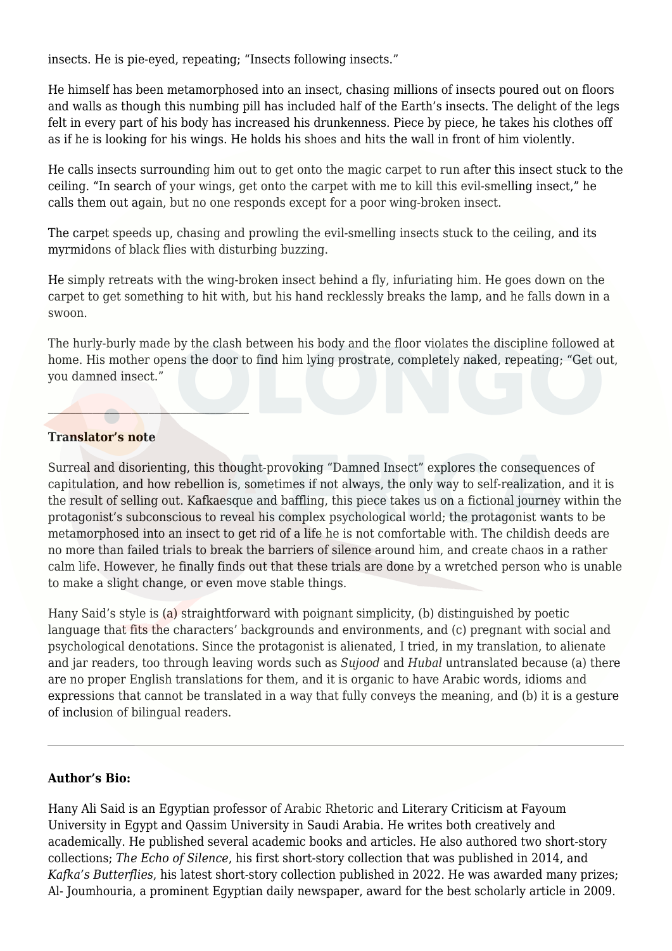insects. He is pie-eyed, repeating; "Insects following insects."

He himself has been metamorphosed into an insect, chasing millions of insects poured out on floors and walls as though this numbing pill has included half of the Earth's insects. The delight of the legs felt in every part of his body has increased his drunkenness. Piece by piece, he takes his clothes off as if he is looking for his wings. He holds his shoes and hits the wall in front of him violently.

He calls insects surrounding him out to get onto the magic carpet to run after this insect stuck to the ceiling. "In search of your wings, get onto the carpet with me to kill this evil-smelling insect," he calls them out again, but no one responds except for a poor wing-broken insect.

The carpet speeds up, chasing and prowling the evil-smelling insects stuck to the ceiling, and its myrmidons of black flies with disturbing buzzing.

He simply retreats with the wing-broken insect behind a fly, infuriating him. He goes down on the carpet to get something to hit with, but his hand recklessly breaks the lamp, and he falls down in a swoon.

The hurly-burly made by the clash between his body and the floor violates the discipline followed at home. His mother opens the door to find him lying prostrate, completely naked, repeating; "Get out, you damned insect."

### **Translator's note**

 $\mathcal{L}=\mathcal{L}=\mathcal{L}=\mathcal{L}=\mathcal{L}=\mathcal{L}=\mathcal{L}=\mathcal{L}=\mathcal{L}=\mathcal{L}=\mathcal{L}=\mathcal{L}=\mathcal{L}=\mathcal{L}=\mathcal{L}=\mathcal{L}=\mathcal{L}=\mathcal{L}=\mathcal{L}=\mathcal{L}=\mathcal{L}=\mathcal{L}=\mathcal{L}=\mathcal{L}=\mathcal{L}=\mathcal{L}=\mathcal{L}=\mathcal{L}=\mathcal{L}=\mathcal{L}=\mathcal{L}=\mathcal{L}=\mathcal{L}=\mathcal{L}=\mathcal{L}=\mathcal{L}=\mathcal{$ 

Surreal and disorienting, this thought-provoking "Damned Insect" explores the consequences of capitulation, and how rebellion is, sometimes if not always, the only way to self-realization, and it is the result of selling out. Kafkaesque and baffling, this piece takes us on a fictional journey within the protagonist's subconscious to reveal his complex psychological world; the protagonist wants to be metamorphosed into an insect to get rid of a life he is not comfortable with. The childish deeds are no more than failed trials to break the barriers of silence around him, and create chaos in a rather calm life. However, he finally finds out that these trials are done by a wretched person who is unable to make a slight change, or even move stable things.

Hany Said's style is (a) straightforward with poignant simplicity, (b) distinguished by poetic language that fits the characters' backgrounds and environments, and (c) pregnant with social and psychological denotations. Since the protagonist is alienated, I tried, in my translation, to alienate and jar readers, too through leaving words such as *Sujood* and *Hubal* untranslated because (a) there are no proper English translations for them, and it is organic to have Arabic words, idioms and expressions that cannot be translated in a way that fully conveys the meaning, and (b) it is a gesture of inclusion of bilingual readers.

#### **Author's Bio:**

Hany Ali Said is an Egyptian professor of Arabic Rhetoric and Literary Criticism at Fayoum University in Egypt and Qassim University in Saudi Arabia. He writes both creatively and academically. He published several academic books and articles. He also authored two short-story collections; *The Echo of Silence*, his first short-story collection that was published in 2014, and *Kafka's Butterflies*, his latest short-story collection published in 2022. He was awarded many prizes; Al- Joumhouria, a prominent Egyptian daily newspaper, award for the best scholarly article in 2009.